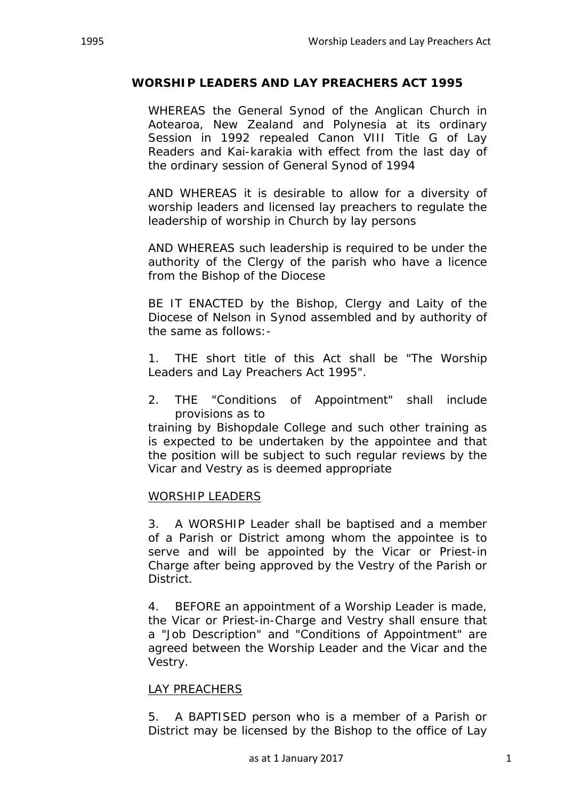## **WORSHIP LEADERS AND LAY PREACHERS ACT 1995**

WHEREAS the General Synod of the Anglican Church in Aotearoa, New Zealand and Polynesia at its ordinary Session in 1992 repealed Canon VIII Title G of Lay Readers and Kai-karakia with effect from the last day of the ordinary session of General Synod of 1994

AND WHEREAS it is desirable to allow for a diversity of worship leaders and licensed lay preachers to regulate the leadership of worship in Church by lay persons

AND WHEREAS such leadership is required to be under the authority of the Clergy of the parish who have a licence from the Bishop of the Diocese

BE IT ENACTED by the Bishop, Clergy and Laity of the Diocese of Nelson in Synod assembled and by authority of the same as follows:-

1. THE short title of this Act shall be "The Worship Leaders and Lay Preachers Act 1995".

2. THE "Conditions of Appointment" shall include provisions as to

training by Bishopdale College and such other training as is expected to be undertaken by the appointee and that the position will be subject to such regular reviews by the Vicar and Vestry as is deemed appropriate

## WORSHIP LEADERS

3. A WORSHIP Leader shall be baptised and a member of a Parish or District among whom the appointee is to serve and will be appointed by the Vicar or Priest-in Charge after being approved by the Vestry of the Parish or District.

4. BEFORE an appointment of a Worship Leader is made, the Vicar or Priest-in-Charge and Vestry shall ensure that a "Job Description" and "Conditions of Appointment" are agreed between the Worship Leader and the Vicar and the Vestry.

## LAY PREACHERS

5. A BAPTISED person who is a member of a Parish or District may be licensed by the Bishop to the office of Lay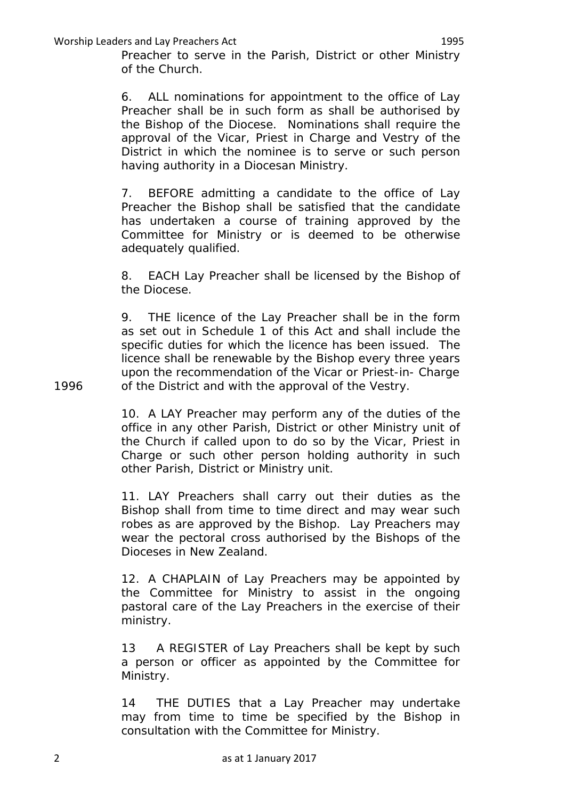Worship Leaders and Lay Preachers Act 1995

Preacher to serve in the Parish, District or other Ministry of the Church.

6. ALL nominations for appointment to the office of Lay Preacher shall be in such form as shall be authorised by the Bishop of the Diocese. Nominations shall require the approval of the Vicar, Priest in Charge and Vestry of the District in which the nominee is to serve or such person having authority in a Diocesan Ministry.

7. BEFORE admitting a candidate to the office of Lay Preacher the Bishop shall be satisfied that the candidate has undertaken a course of training approved by the Committee for Ministry or is deemed to be otherwise adequately qualified.

8. EACH Lay Preacher shall be licensed by the Bishop of the Diocese.

9. THE licence of the Lay Preacher shall be in the form as set out in Schedule 1 of this Act and shall include the specific duties for which the licence has been issued. The licence shall be renewable by the Bishop every three years upon the recommendation of the Vicar or Priest-in- Charge 1996 of the District and with the approval of the Vestry.

> 10. A LAY Preacher may perform any of the duties of the office in any other Parish, District or other Ministry unit of the Church if called upon to do so by the Vicar, Priest in Charge or such other person holding authority in such other Parish, District or Ministry unit.

> 11. LAY Preachers shall carry out their duties as the Bishop shall from time to time direct and may wear such robes as are approved by the Bishop. Lay Preachers may wear the pectoral cross authorised by the Bishops of the Dioceses in New Zealand.

> 12. A CHAPLAIN of Lay Preachers may be appointed by the Committee for Ministry to assist in the ongoing pastoral care of the Lay Preachers in the exercise of their ministry.

> 13 A REGISTER of Lay Preachers shall be kept by such a person or officer as appointed by the Committee for Ministry.

> 14 THE DUTIES that a Lay Preacher may undertake may from time to time be specified by the Bishop in consultation with the Committee for Ministry.